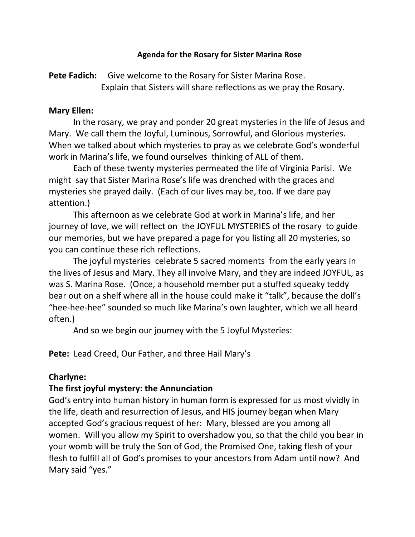#### **Agenda for the Rosary for Sister Marina Rose**

Pete Fadich: Give welcome to the Rosary for Sister Marina Rose. Explain that Sisters will share reflections as we pray the Rosary.

#### **Mary Ellen:**

In the rosary, we pray and ponder 20 great mysteries in the life of Jesus and Mary. We call them the Joyful, Luminous, Sorrowful, and Glorious mysteries. When we talked about which mysteries to pray as we celebrate God's wonderful work in Marina's life, we found ourselves thinking of ALL of them.

Each of these twenty mysteries permeated the life of Virginia Parisi. We might say that Sister Marina Rose's life was drenched with the graces and mysteries she prayed daily. (Each of our lives may be, too. If we dare pay attention.)

This afternoon as we celebrate God at work in Marina's life, and her journey of love, we will reflect on the JOYFUL MYSTERIES of the rosary to guide our memories, but we have prepared a page for you listing all 20 mysteries, so you can continue these rich reflections.

The joyful mysteries celebrate 5 sacred moments from the early years in the lives of Jesus and Mary. They all involve Mary, and they are indeed JOYFUL, as was S. Marina Rose. (Once, a household member put a stuffed squeaky teddy bear out on a shelf where all in the house could make it "talk", because the doll's "hee-hee-hee" sounded so much like Marina's own laughter, which we all heard often.)

And so we begin our journey with the 5 Joyful Mysteries:

**Pete:** Lead Creed, Our Father, and three Hail Mary's

### **Charlyne:**

### **The first joyful mystery: the Annunciation**

God's entry into human history in human form is expressed for us most vividly in the life, death and resurrection of Jesus, and HIS journey began when Mary accepted God's gracious request of her: Mary, blessed are you among all women. Will you allow my Spirit to overshadow you, so that the child you bear in your womb will be truly the Son of God, the Promised One, taking flesh of your flesh to fulfill all of God's promises to your ancestors from Adam until now? And Mary said "yes."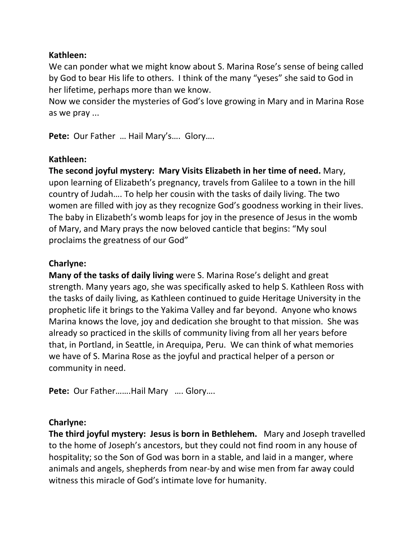#### **Kathleen:**

We can ponder what we might know about S. Marina Rose's sense of being called by God to bear His life to others. I think of the many "yeses" she said to God in her lifetime, perhaps more than we know.

Now we consider the mysteries of God's love growing in Mary and in Marina Rose as we pray ...

**Pete:** Our Father … Hail Mary's…. Glory….

## **Kathleen:**

**The second joyful mystery: Mary Visits Elizabeth in her time of need.** Mary, upon learning of Elizabeth's pregnancy, travels from Galilee to a town in the hill country of Judah…. To help her cousin with the tasks of daily living. The two women are filled with joy as they recognize God's goodness working in their lives. The baby in Elizabeth's womb leaps for joy in the presence of Jesus in the womb of Mary, and Mary prays the now beloved canticle that begins: "My soul proclaims the greatness of our God"

# **Charlyne:**

**Many of the tasks of daily living** were S. Marina Rose's delight and great strength. Many years ago, she was specifically asked to help S. Kathleen Ross with the tasks of daily living, as Kathleen continued to guide Heritage University in the prophetic life it brings to the Yakima Valley and far beyond. Anyone who knows Marina knows the love, joy and dedication she brought to that mission. She was already so practiced in the skills of community living from all her years before that, in Portland, in Seattle, in Arequipa, Peru. We can think of what memories we have of S. Marina Rose as the joyful and practical helper of a person or community in need.

**Pete:** Our Father…….Hail Mary …. Glory….

### **Charlyne:**

**The third joyful mystery: Jesus is born in Bethlehem.** Mary and Joseph travelled to the home of Joseph's ancestors, but they could not find room in any house of hospitality; so the Son of God was born in a stable, and laid in a manger, where animals and angels, shepherds from near-by and wise men from far away could witness this miracle of God's intimate love for humanity.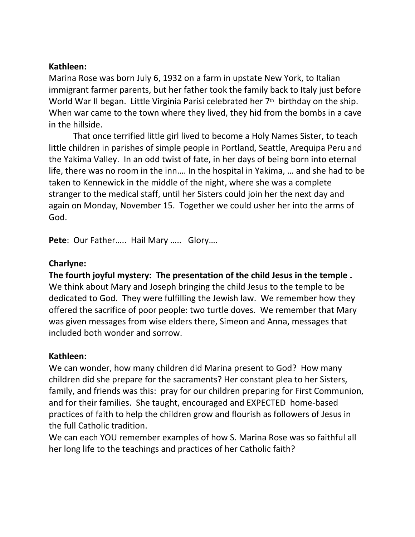#### **Kathleen:**

Marina Rose was born July 6, 1932 on a farm in upstate New York, to Italian immigrant farmer parents, but her father took the family back to Italy just before World War II began. Little Virginia Parisi celebrated her  $7<sup>th</sup>$  birthday on the ship. When war came to the town where they lived, they hid from the bombs in a cave in the hillside.

That once terrified little girl lived to become a Holy Names Sister, to teach little children in parishes of simple people in Portland, Seattle, Arequipa Peru and the Yakima Valley. In an odd twist of fate, in her days of being born into eternal life, there was no room in the inn…. In the hospital in Yakima, … and she had to be taken to Kennewick in the middle of the night, where she was a complete stranger to the medical staff, until her Sisters could join her the next day and again on Monday, November 15. Together we could usher her into the arms of God.

**Pete**: Our Father….. Hail Mary ….. Glory….

## **Charlyne:**

**The fourth joyful mystery: The presentation of the child Jesus in the temple .** We think about Mary and Joseph bringing the child Jesus to the temple to be dedicated to God. They were fulfilling the Jewish law. We remember how they offered the sacrifice of poor people: two turtle doves. We remember that Mary was given messages from wise elders there, Simeon and Anna, messages that included both wonder and sorrow.

# **Kathleen:**

We can wonder, how many children did Marina present to God? How many children did she prepare for the sacraments? Her constant plea to her Sisters, family, and friends was this: pray for our children preparing for First Communion, and for their families. She taught, encouraged and EXPECTED home-based practices of faith to help the children grow and flourish as followers of Jesus in the full Catholic tradition.

We can each YOU remember examples of how S. Marina Rose was so faithful all her long life to the teachings and practices of her Catholic faith?